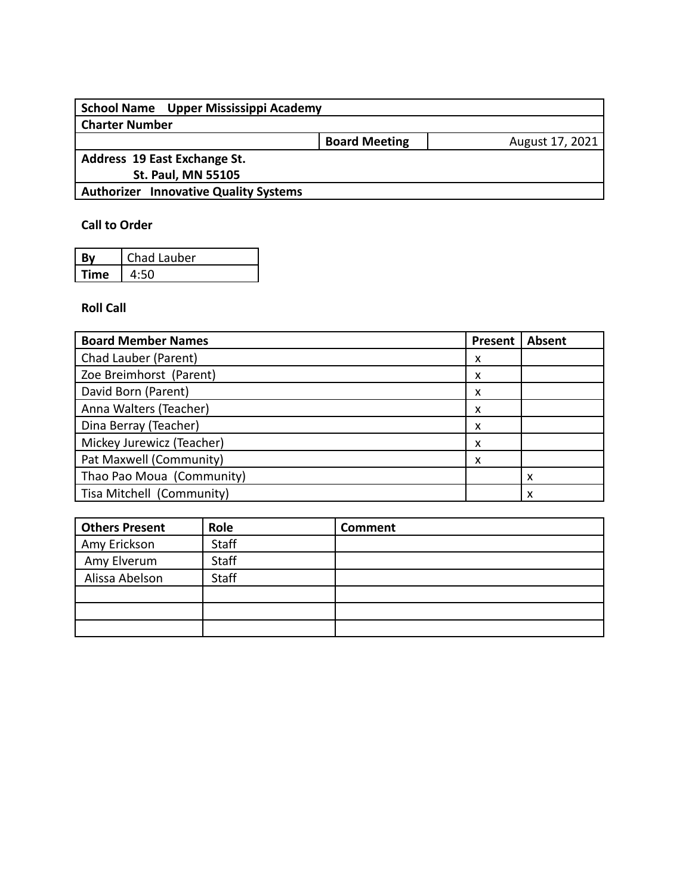| School Name Upper Mississippi Academy        |                      |                 |
|----------------------------------------------|----------------------|-----------------|
| <b>Charter Number</b>                        |                      |                 |
|                                              | <b>Board Meeting</b> | August 17, 2021 |
| Address 19 East Exchange St.                 |                      |                 |
| <b>St. Paul, MN 55105</b>                    |                      |                 |
| <b>Authorizer Innovative Quality Systems</b> |                      |                 |
|                                              |                      |                 |

## **Call to Order**

| Rν   | Chad Lauber |
|------|-------------|
| Time |             |

## **Roll Call**

| <b>Board Member Names</b> | <b>Present</b> | Absent |
|---------------------------|----------------|--------|
| Chad Lauber (Parent)      | x              |        |
| Zoe Breimhorst (Parent)   | х              |        |
| David Born (Parent)       | x              |        |
| Anna Walters (Teacher)    | x              |        |
| Dina Berray (Teacher)     | x              |        |
| Mickey Jurewicz (Teacher) | x              |        |
| Pat Maxwell (Community)   | х              |        |
| Thao Pao Moua (Community) |                | x      |
| Tisa Mitchell (Community) |                |        |

| Others Present | Role         | <b>Comment</b> |
|----------------|--------------|----------------|
| Amy Erickson   | Staff        |                |
| Amy Elverum    | Staff        |                |
| Alissa Abelson | <b>Staff</b> |                |
|                |              |                |
|                |              |                |
|                |              |                |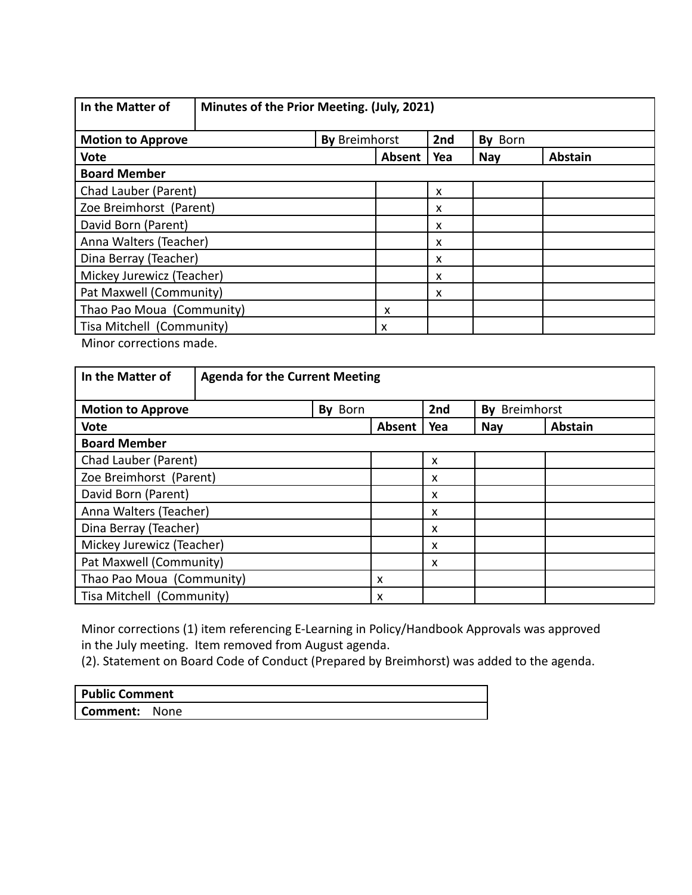| In the Matter of                                                   | Minutes of the Prior Meeting. (July, 2021) |        |     |            |                |  |  |
|--------------------------------------------------------------------|--------------------------------------------|--------|-----|------------|----------------|--|--|
| <b>By Breimhorst</b><br>2nd<br>By Born<br><b>Motion to Approve</b> |                                            |        |     |            |                |  |  |
| <b>Vote</b>                                                        |                                            | Absent | Yea | <b>Nay</b> | <b>Abstain</b> |  |  |
| <b>Board Member</b>                                                |                                            |        |     |            |                |  |  |
| Chad Lauber (Parent)                                               |                                            |        | X   |            |                |  |  |
| Zoe Breimhorst (Parent)                                            |                                            | x      |     |            |                |  |  |
| David Born (Parent)                                                |                                            |        | x   |            |                |  |  |
| Anna Walters (Teacher)                                             |                                            |        | X   |            |                |  |  |
| Dina Berray (Teacher)                                              |                                            |        | x   |            |                |  |  |
| Mickey Jurewicz (Teacher)                                          | X                                          |        |     |            |                |  |  |
| Pat Maxwell (Community)<br>x                                       |                                            |        |     |            |                |  |  |
| Thao Pao Moua (Community)                                          | X                                          |        |     |            |                |  |  |
| Tisa Mitchell (Community)                                          |                                            | x      |     |            |                |  |  |

Minor corrections made.

| In the Matter of          | <b>Agenda for the Current Meeting</b> |         |        |     |               |                |  |
|---------------------------|---------------------------------------|---------|--------|-----|---------------|----------------|--|
| <b>Motion to Approve</b>  |                                       | By Born |        | 2nd | By Breimhorst |                |  |
| <b>Vote</b>               |                                       |         | Absent | Yea | <b>Nay</b>    | <b>Abstain</b> |  |
| <b>Board Member</b>       |                                       |         |        |     |               |                |  |
| Chad Lauber (Parent)      |                                       |         |        | X   |               |                |  |
| Zoe Breimhorst (Parent)   |                                       |         |        | X   |               |                |  |
| David Born (Parent)       |                                       |         |        | X   |               |                |  |
| Anna Walters (Teacher)    |                                       |         |        | X   |               |                |  |
| Dina Berray (Teacher)     |                                       |         |        | x   |               |                |  |
| Mickey Jurewicz (Teacher) |                                       |         |        | X   |               |                |  |
| Pat Maxwell (Community)   |                                       |         |        | x   |               |                |  |
| Thao Pao Moua (Community) |                                       |         | x      |     |               |                |  |
| Tisa Mitchell (Community) |                                       |         | x      |     |               |                |  |

Minor corrections (1) item referencing E-Learning in Policy/Handbook Approvals was approved in the July meeting. Item removed from August agenda.

(2). Statement on Board Code of Conduct (Prepared by Breimhorst) was added to the agenda.

| <b>Public Comment</b> |  |
|-----------------------|--|
| C <b>omment:</b> None |  |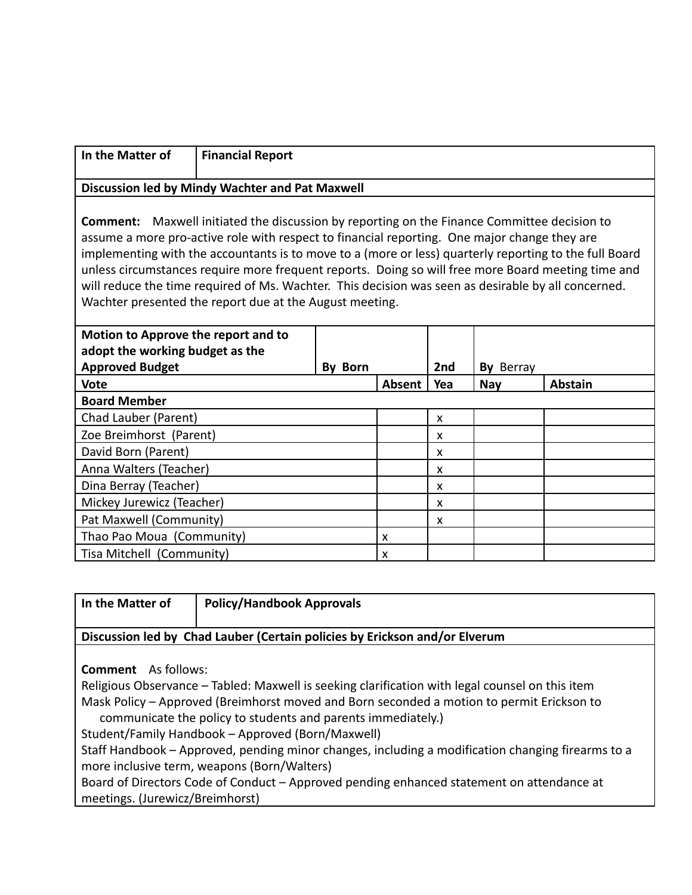| In the Matter of | <b>Financial Report</b>                                                                            |
|------------------|----------------------------------------------------------------------------------------------------|
|                  | Discussion led by Mindy Wachter and Pat Maxwell                                                    |
|                  | <b>Comment:</b> Maxwell initiated the discussion by reporting on the Finance Committee decision to |

assume a more pro-active role with respect to financial reporting. One major change they are implementing with the accountants is to move to a (more or less) quarterly reporting to the full Board unless circumstances require more frequent reports. Doing so will free more Board meeting time and will reduce the time required of Ms. Wachter. This decision was seen as desirable by all concerned. Wachter presented the report due at the August meeting.

| Motion to Approve the report and to<br>adopt the working budget as the |         |        |     |            |                |
|------------------------------------------------------------------------|---------|--------|-----|------------|----------------|
| <b>Approved Budget</b>                                                 | By Born |        | 2nd | By Berray  |                |
| <b>Vote</b>                                                            |         | Absent | Yea | <b>Nay</b> | <b>Abstain</b> |
| <b>Board Member</b>                                                    |         |        |     |            |                |
| Chad Lauber (Parent)                                                   |         |        | X   |            |                |
| Zoe Breimhorst (Parent)                                                |         |        | X   |            |                |
| David Born (Parent)                                                    |         |        | X   |            |                |
| Anna Walters (Teacher)                                                 |         |        | x   |            |                |
| Dina Berray (Teacher)                                                  |         |        | X   |            |                |
| Mickey Jurewicz (Teacher)                                              |         |        | x   |            |                |
| Pat Maxwell (Community)                                                |         |        | X   |            |                |
| Thao Pao Moua (Community)                                              |         | x      |     |            |                |
| Tisa Mitchell (Community)                                              |         | x      |     |            |                |

|  | In the Matter of |  |
|--|------------------|--|
|  |                  |  |

**In the Matter of Policy/Handbook Approvals**

## **Discussion led by Chad Lauber (Certain policies by Erickson and/or Elverum**

**Comment** As follows:

Religious Observance – Tabled: Maxwell is seeking clarification with legal counsel on this item Mask Policy – Approved (Breimhorst moved and Born seconded a motion to permit Erickson to communicate the policy to students and parents immediately.)

Student/Family Handbook – Approved (Born/Maxwell)

Staff Handbook – Approved, pending minor changes, including a modification changing firearms to a more inclusive term, weapons (Born/Walters)

Board of Directors Code of Conduct – Approved pending enhanced statement on attendance at meetings. (Jurewicz/Breimhorst)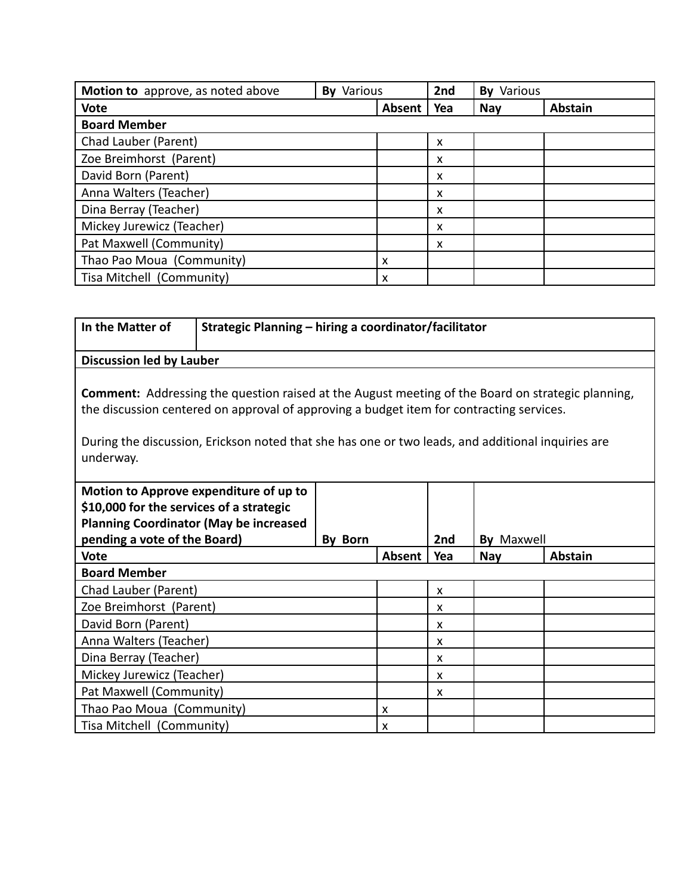| Motion to approve, as noted above<br><b>By Various</b> |  |        | 2nd | <b>By Various</b> |                |
|--------------------------------------------------------|--|--------|-----|-------------------|----------------|
| <b>Vote</b>                                            |  | Absent | Yea | <b>Nay</b>        | <b>Abstain</b> |
| <b>Board Member</b>                                    |  |        |     |                   |                |
| Chad Lauber (Parent)                                   |  |        | x   |                   |                |
| Zoe Breimhorst (Parent)                                |  |        | x   |                   |                |
| David Born (Parent)                                    |  |        | x   |                   |                |
| Anna Walters (Teacher)                                 |  |        | x   |                   |                |
| Dina Berray (Teacher)                                  |  |        | X   |                   |                |
| Mickey Jurewicz (Teacher)                              |  |        | x   |                   |                |
| Pat Maxwell (Community)                                |  |        | x   |                   |                |
| Thao Pao Moua (Community)                              |  | x      |     |                   |                |
| Tisa Mitchell (Community)                              |  | x      |     |                   |                |

| In the Matter of                                                                                                                                                                                                                                                                                                       | Strategic Planning - hiring a coordinator/facilitator |                |        |                           |                   |                |
|------------------------------------------------------------------------------------------------------------------------------------------------------------------------------------------------------------------------------------------------------------------------------------------------------------------------|-------------------------------------------------------|----------------|--------|---------------------------|-------------------|----------------|
| <b>Discussion led by Lauber</b>                                                                                                                                                                                                                                                                                        |                                                       |                |        |                           |                   |                |
| <b>Comment:</b> Addressing the question raised at the August meeting of the Board on strategic planning,<br>the discussion centered on approval of approving a budget item for contracting services.<br>During the discussion, Erickson noted that she has one or two leads, and additional inquiries are<br>underway. |                                                       |                |        |                           |                   |                |
| Motion to Approve expenditure of up to<br>\$10,000 for the services of a strategic<br><b>Planning Coordinator (May be increased</b><br>pending a vote of the Board)                                                                                                                                                    |                                                       | <b>By Born</b> |        | 2 <sub>nd</sub>           | <b>By Maxwell</b> |                |
| <b>Vote</b>                                                                                                                                                                                                                                                                                                            |                                                       |                | Absent | Yea                       | <b>Nay</b>        | <b>Abstain</b> |
| <b>Board Member</b>                                                                                                                                                                                                                                                                                                    |                                                       |                |        |                           |                   |                |
| Chad Lauber (Parent)                                                                                                                                                                                                                                                                                                   |                                                       |                |        | $\boldsymbol{\mathsf{x}}$ |                   |                |
| Zoe Breimhorst (Parent)                                                                                                                                                                                                                                                                                                |                                                       |                |        | X                         |                   |                |
| David Born (Parent)                                                                                                                                                                                                                                                                                                    |                                                       |                |        | X                         |                   |                |
| Anna Walters (Teacher)<br>X                                                                                                                                                                                                                                                                                            |                                                       |                |        |                           |                   |                |
| Dina Berray (Teacher)                                                                                                                                                                                                                                                                                                  |                                                       |                |        | X                         |                   |                |
| Mickey Jurewicz (Teacher)<br>X                                                                                                                                                                                                                                                                                         |                                                       |                |        |                           |                   |                |
| Pat Maxwell (Community)<br>X                                                                                                                                                                                                                                                                                           |                                                       |                |        |                           |                   |                |
| Thao Pao Moua (Community)                                                                                                                                                                                                                                                                                              |                                                       |                | X      |                           |                   |                |
| Tisa Mitchell (Community)                                                                                                                                                                                                                                                                                              |                                                       |                | X      |                           |                   |                |